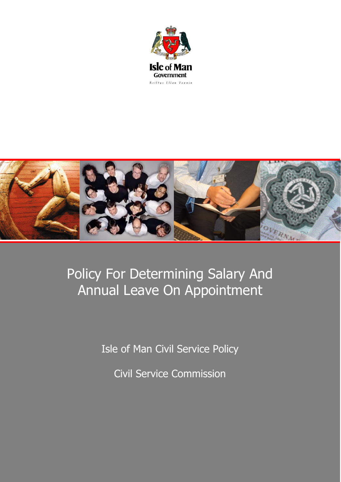



# Policy For Determining Salary And Annual Leave On Appointment

Isle of Man Civil Service Policy

Civil Service Commission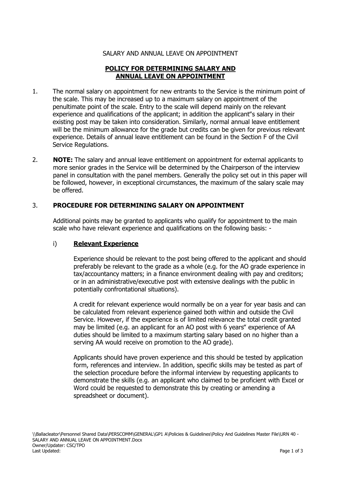## SALARY AND ANNUAL LEAVE ON APPOINTMENT

# **POLICY FOR DETERMINING SALARY AND ANNUAL LEAVE ON APPOINTMENT**

- 1. The normal salary on appointment for new entrants to the Service is the minimum point of the scale. This may be increased up to a maximum salary on appointment of the penultimate point of the scale. Entry to the scale will depend mainly on the relevant experience and qualifications of the applicant; in addition the applicant 's salary in their existing post may be taken into consideration. Similarly, normal annual leave entitlement will be the minimum allowance for the grade but credits can be given for previous relevant experience. Details of annual leave entitlement can be found in the Section F of the Civil Service Regulations.
- 2. **NOTE:** The salary and annual leave entitlement on appointment for external applicants to more senior grades in the Service will be determined by the Chairperson of the interview panel in consultation with the panel members. Generally the policy set out in this paper will be followed, however, in exceptional circumstances, the maximum of the salary scale may be offered.

## 3. **PROCEDURE FOR DETERMINING SALARY ON APPOINTMENT**

Additional points may be granted to applicants who qualify for appointment to the main scale who have relevant experience and qualifications on the following basis: -

#### i) **Relevant Experience**

Experience should be relevant to the post being offered to the applicant and should preferably be relevant to the grade as a whole (e.g. for the AO grade experience in tax/accountancy matters; in a finance environment dealing with pay and creditors; or in an administrative/executive post with extensive dealings with the public in potentially confrontational situations).

A credit for relevant experience would normally be on a year for year basis and can be calculated from relevant experience gained both within and outside the Civil Service. However, if the experience is of limited relevance the total credit granted may be limited (e.g. an applicant for an AO post with 6 years" experience of AA duties should be limited to a maximum starting salary based on no higher than a serving AA would receive on promotion to the AO grade).

Applicants should have proven experience and this should be tested by application form, references and interview. In addition, specific skills may be tested as part of the selection procedure before the informal interview by requesting applicants to demonstrate the skills (e.g. an applicant who claimed to be proficient with Excel or Word could be requested to demonstrate this by creating or amending a spreadsheet or document).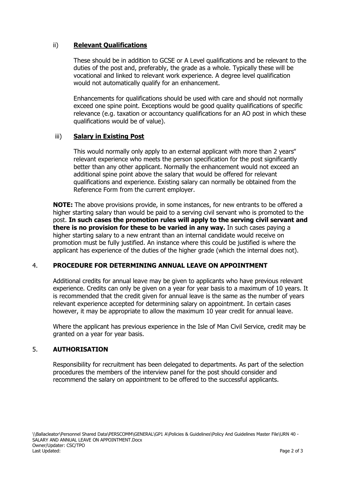# ii) **Relevant Qualifications**

These should be in addition to GCSE or A Level qualifications and be relevant to the duties of the post and, preferably, the grade as a whole. Typically these will be vocational and linked to relevant work experience. A degree level qualification would not automatically qualify for an enhancement.

Enhancements for qualifications should be used with care and should not normally exceed one spine point. Exceptions would be good quality qualifications of specific relevance (e.g. taxation or accountancy qualifications for an AO post in which these qualifications would be of value).

#### iii) **Salary in Existing Post**

This would normally only apply to an external applicant with more than 2 years" relevant experience who meets the person specification for the post significantly better than any other applicant. Normally the enhancement would not exceed an additional spine point above the salary that would be offered for relevant qualifications and experience. Existing salary can normally be obtained from the Reference Form from the current employer.

**NOTE:** The above provisions provide, in some instances, for new entrants to be offered a higher starting salary than would be paid to a serving civil servant who is promoted to the post. **In such cases the promotion rules will apply to the serving civil servant and there is no provision for these to be varied in any way.** In such cases paying a higher starting salary to a new entrant than an internal candidate would receive on promotion must be fully justified. An instance where this could be justified is where the applicant has experience of the duties of the higher grade (which the internal does not).

# 4. **PROCEDURE FOR DETERMINING ANNUAL LEAVE ON APPOINTMENT**

Additional credits for annual leave may be given to applicants who have previous relevant experience. Credits can only be given on a year for year basis to a maximum of 10 years. It is recommended that the credit given for annual leave is the same as the number of years relevant experience accepted for determining salary on appointment. In certain cases however, it may be appropriate to allow the maximum 10 year credit for annual leave.

Where the applicant has previous experience in the Isle of Man Civil Service, credit may be granted on a year for year basis.

#### 5. **AUTHORISATION**

Responsibility for recruitment has been delegated to departments. As part of the selection procedures the members of the interview panel for the post should consider and recommend the salary on appointment to be offered to the successful applicants.